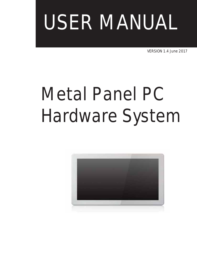# USER MANUAL

VERSION 1.4 June 2017

# Metal Panel PC Hardware System

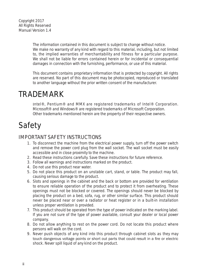The information contained in this document is subject to change without notice. We make no warranty of any kind with regard to this material, including, but not limited to, the implied warranties of merchantability and fitness for a particular purpose. We shall not be liable for errors contained herein or for incidental or consequential damages in connection with the furnishing, performance, or use of this material.

This document contains proprietary information that is protected by copyright. All rights are reserved. No part of this document may be photocopied, reproduced or translated to another language without the prior written consent of the manufacturer.

# TRADEMARK

Intel®, Pentium® and MMX are registered trademarks of Intel® Corporation. Microsoft® and Windows® are registered trademarks of Microsoft Corporation. Other trademarks mentioned herein are the property of their respective owners.

# Safety

## IMPORTANT SAFETY INSTRUCTIONS

- 1. To disconnect the machine from the electrical power supply, turn off the power switch and remove the power cord plug from the wall socket. The wall socket must be easily accessible and in close proximity to the machine.
- 2. Read these instructions carefully. Save these instructions for future reference.
- 3. Follow all warnings and instructions marked on the product.
- 4. Do not use this product near water.
- 5. Do not place this product on an unstable cart, stand, or table. The product may fall, causing serious damage to the product.
- 6. Slots and openings in the cabinet and the back or bottom are provided for ventilation to ensure reliable operation of the product and to protect it from overheating. These openings must not be blocked or covered. The openings should never be blocked by placing the product on a bed, sofa, rug, or other similar surface. This product should never be placed near or over a radiator or heat register or in a built-in installation unless proper ventilation is provided.
- 7. This product should be operated from the type of power indicated on the marking label. If you are not sure of the type of power available, consult your dealer or local power company.
- 8. Do not allow anything to rest on the power cord. Do not locate this product where persons will walk on the cord.
- 9. Never push objects of any kind into this product through cabinet slots as they may touch dangerous voltage points or short out parts that could result in a fire or electric shock. Never spill liquid of any kind on the product.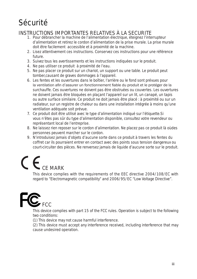# Sécurité

## INSTRUCTIONS IMPORTANTES RELATIVES À LA SECURITE

- 1. Pour débrancher la machine de l'alimentation électrique, éteignez l'interrupteur d'alimentation et retirez le cordon d'alimentation de la prise murale. La prise murale doit être facilement accessible et à proximité de la machine.
- 2. Lisez attentivement ces instructions. Conservez ces instructions pour une référence future.
- 3. Suivez tous les avertissements et les instructions indiquées sur le produit.
- 4. Ne pas utiliser ce produit à proximité de l'eau.
- 5. Ne pas placer ce produit sur un chariot, un support ou une table. Le produit peut tomber,causant de graves dommages à l'appareil.
- 6. Les fentes et les ouvertures dans le boîtier, l'arrière ou le fond sont prévues pour la ventilation afin d'assurer un fonctionnement fiable du produit et le protéger de la surchauffe. Ces ouvertures ne doivent pas être obstruées ou couvertes. Les ouvertures ne doivent jamais être bloquées en plaçant l'appareil sur un lit, un canapé, un tapis ou autre surface similaire. Ce produit ne doit jamais être placé : à proximité ou sur un radiateur, sur un registre de chaleur ou dans une installation intégrée à moins qu'une ventilation adéquate soit prévue.
- 7. Ce produit doit être utilisé avec le type d'alimentation indiqué sur l'étiquette.Si vous n'êtes pas sûr du type d'alimentation disponible, consultez votre revendeur ou représentant local de l'entreprise.
- 8. Ne laissez rien reposer sur le cordon d'alimentation. Ne placez pas ce produit là oùdes personnes peuvent marcher sur le cordon.
- 9. N'introduisez jamais d'objets d'aucune sorte dans ce produit à travers les fentes du coffret car ils pourraient entrer en contact avec des points sous tension dangereux ou court-circuiter des pièces. Ne renversez jamais de liquide d'aucune sorte sur le produit.

# $C_{\epsilon_{\text{CE MARK}}}$

This device complies with the requirements of the EEC directive 2004/108/EC with regard to "Electromagnetic compatibility" and 2006/95/EC "Low Voltage Directive".

# **FCC**

This device complies with part 15 of the FCC rules. Operation is subject to the following two conditions:

(1) This device may not cause harmful interference.

(2) This device must accept any interference received, including interference that may cause undesired operation.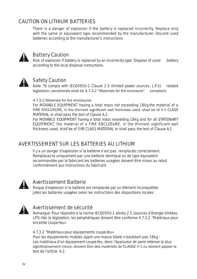## CAUTION ON LITHIUM BATTERIES

There is a danger of explosion if the battery is replaced incorrectly. Replace only with the same or equivalent type recommended by the manufacturer. Discard used batteries according to the manufacturer's instructions.



### Battery Caution

Risk of explosion if battery is replaced by an incorrectly type. Dispose of used battery according to the local disposal instructions.



### Safety Caution

Note: To comply with IEC60950-1 Clause 2.5 (limited power sources, L.P.S) related legislation, peripherals shall be 4.7.3.2 "Materials for fire enclosure" compliant.

#### 4.7.3.2 Materials for fire enclosures

For MOVABLE EQUIPMENT having a total mass not exceeding 18kg.the material of a FIRE ENCLOSURE, in the thinnest significant wall thickness used, shall be of V-1 CLASS MATERIAL or shall pass the test of Clause A.2.

For MOVABLE EQUIPMENT having a total mass exceeding 18kg and for all STATIONARY EQUIPMENT, the material of a FIRE ENCLOSURE, in the thinnest significant wall thickness used, shall be of 5VB CLASS MATERIAL or shall pass the test of Clause A.1

## AVERTISSEMENT SUR LES BATTERIES AU LITHIUM

Il y a un danger d'explosion si la batterie n'est pas remplacée correctement. Remplacez-la uniquement par une batterie identique ou de type équivalent recommandée par le fabricant.les batteries usagées doivent être mises au rebut conformément aux instructions du fabricant.



#### Avertissement Batterie

Risque d'explosion si la batterie est remplacée par un élément incompatible. Jetez les batteries usagées selon les instructions des dispositions locales .



### Avertissement de sécurité

Remarque: Pour répondre à la norme IEC60950-1 alinéa 2.5 (sources d'énergie limitées, LPS) liés la législation, les périphériques doivent être conforme 4.7.3.2 "Matériaux pour enceinte coupe-feu»

4.7.3.2 "Matériaux pour équipements coupe-feu»

Pour les équipements mobiles ayant une masse totale n'excédant pas 18kg : Les matériaux d'un équipement coupe-feu, dans l'épaisseur de paroi retenue la plus significativement mince, doivent être des matériels de CLASSE V-1 ou doivent passer le test de l'article A.2.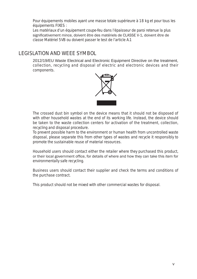Pour équipements mobiles ayant une masse totale supérieure à 18 kg et pour tous les équipements FIXES :

Les matériaux d'un équipement coupe-feu dans l'épaisseur de paroi retenue la plus significativement mince, doivent être des matériels de CLASSE V-1, doivent être de classe Matériel 5VB ou doivent passer le test de l'article A.1

## LEGISLATION AND WEEE SYMBOL

2012/19/EU Waste Electrical and Electronic Equipment Directive on the treatment, collection, recycling and disposal of electric and electronic devices and their components.



The crossed dust bin symbol on the device means that it should not be disposed of with other household wastes at the end of its working life. Instead, the device should be taken to the waste collection centers for activation of the treatment, collection, recycling and disposal procedure.

To prevent possible harm to the environment or human health from uncontrolled waste disposal, please separate this from other types of wastes and recycle it responsibly to promote the sustainable reuse of material resources.

Household users should contact either the retailer where they purchased this product, or their local government office, for details of where and how they can take this item for environmentally safe recycling.

Business users should contact their supplier and check the terms and conditions of the purchase contract.

This product should not be mixed with other commercial wastes for disposal.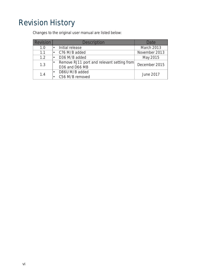# Revision History

Changes to the original user manual are listed below:

| <b>Revision</b> | <b>Description</b>                                           | Date              |
|-----------------|--------------------------------------------------------------|-------------------|
| 1.0             | Initial release                                              | <b>March 2013</b> |
| 1.1             | C76 M/B added                                                | November 2013     |
| 1.2             | D36 M/B added                                                | May 2015          |
| 1.3             | Remove RJ11 port and relevant setting from<br>D36 and D66 MB | December 2015     |
| 1.4             | D86U M/B added<br>C56 M/B removed                            | June 2017         |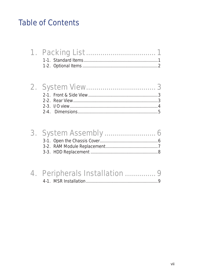# **Table of Contents**

### 2-2 Rear View 2008 3

## 4. Peripherals Installation ................ 9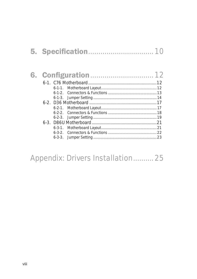|--|--|

# Appendix: Drivers Installation........... 25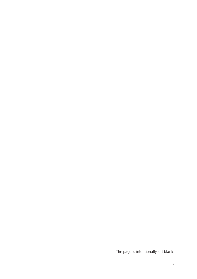The page is intentionally left blank.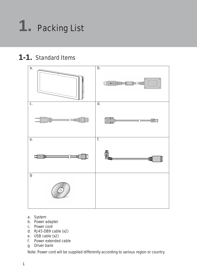

# **1-1.** Standard Items



- a. System
- b. Power adapter
- c. Power cord
- d. RJ45-DB9 cable (x2)
- e. USB cable (x2)
- f. Power extended cable
- g. Driver bank

Note: Power cord will be supplied differently according to various region or country.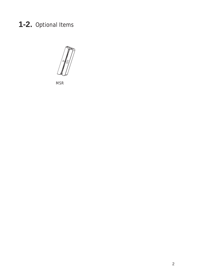# **1-2.** Optional Items



MSR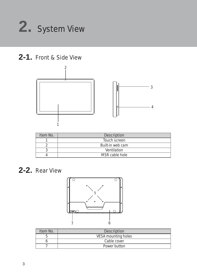**2-1.** Front & Side View





| Item No. | <b>Description</b> |
|----------|--------------------|
|          | Touch screen       |
|          | Built-in web cam   |
|          | Ventilation        |
|          | MSR cable hole     |

# **2-2.** Rear View



| Item No. | <b>Description</b>  |
|----------|---------------------|
|          | VESA mounting holes |
|          | Cable cover         |
|          | Power button        |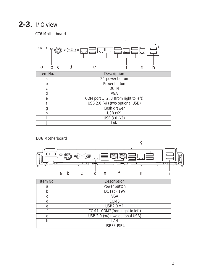# **2-3.** I/O view

#### C76 Motherboard



| Item No.     | <b>Description</b>                    |  |
|--------------|---------------------------------------|--|
| a            | $2nd$ power button                    |  |
| b            | Power button                          |  |
| C            | DC IN                                 |  |
| d            | <b>VGA</b>                            |  |
| e            | COM port 1, 2, 3 (from right to left) |  |
|              | USB 2.0 (x4) (two optional USB)       |  |
| Cash drawer  |                                       |  |
| h            | USB(x2)                               |  |
| USB 3.0 (x2) |                                       |  |
|              | LAN                                   |  |

#### D36 Motherboard



| Item No. | <b>Description</b>              |  |
|----------|---------------------------------|--|
| a        | Power button                    |  |
| b        | DC Jack 19V                     |  |
| С        | <b>VGA</b>                      |  |
| d        | COM <sub>3</sub>                |  |
| e        | <b>USB2.0 x 1</b>               |  |
|          | COM1~COM2(from right to left)   |  |
| g        | USB 2.0 (x4) (two optional USB) |  |
| h        | LAN                             |  |
|          | USB3/USB4                       |  |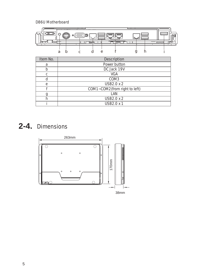#### D86U Motherboard



## **2-4.** Dimensions

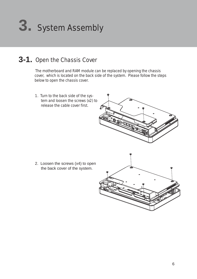# **3.** System Assembly

## **3-1.** Open the Chassis Cover

 The motherboard and RAM module can be replaced by opening the chassis cover, which is located on the back side of the system. Please follow the steps below to open the chassis cover.

- 1. Turn to the back side of the system and loosen the screws (x2) to release the cable cover first. the back cover of the system.
- 2. Loosen the screws (x4) to open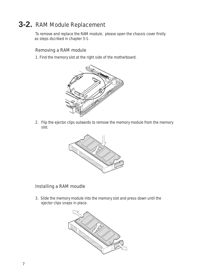# **3-2.** RAM Module Replacement

 To remove and replace the RAM module, please open the chassis cover firstly as steps dscribed in chapter 3-1.

#### Removing a RAM module

1. Find the memory slot at the right side of the motherboard.



2. Flip the ejector clips outwards to remove the memory module from the memory slot.



#### Installing a RAM moudle

3. Slide the memory module into the memory slot and press down until the ejector clips snaps in place.

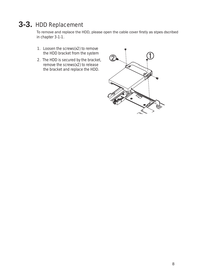# **3-3.** HDD Replacement

To remove and replace the HDD, please open the cable cover firstly as stpes dscribed in chapter 3-1-1.

- 1. Loosen the screws(x2) to remove the HDD bracket from the system
- 2. The HDD is secured by the bracket, remove the screws(x2) to release the bracket and replace the HDD.

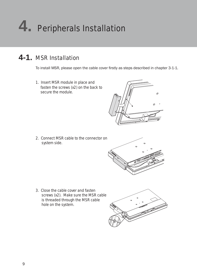# **4.** Peripherals Installation

## **4-1.** MSR Installation

To install MSR, please open the cable cover firstly as steps described in chapter 3-1-1.

1. Insert MSR module in place and fasten the screws (x2) on the back to secure the module.

2. Connect MSR cable to the connector on system side.



3. Close the cable cover and fasten screws (x2). Make sure the MSR cable is threaded through the MSR cable hole on the system.

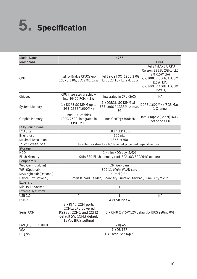# 5. Specification

| <b>Model Name</b>         | K755                                                                                                               |                                                                                         |                                                                                                                                                 |
|---------------------------|--------------------------------------------------------------------------------------------------------------------|-----------------------------------------------------------------------------------------|-------------------------------------------------------------------------------------------------------------------------------------------------|
| Mainboard                 | C76                                                                                                                | D36                                                                                     | <b>D86U</b>                                                                                                                                     |
| CPU                       | 1037U 1.8G, LLC 2MB, 17W                                                                                           | Intel Ivy Bridge CPUCeleron   Intel Baytrail QC J1900 2.0G<br>(Turbo 2.41G), L2 2M, 10W | Intel SKYLAKE U CPU<br>Celeron 3955U 2GHz, LLC<br>2M (15W, EIA)<br>i3-6100U 2.3GHz, LLC 3M<br>(15W, EIA)<br>i5-6300U 2.4GHz, LLC 3M<br>(15W,IA) |
| Chipset                   | CPU integrated graphic +<br>Intel HM76 PCH, 4.1W                                                                   | Integrated in CPU (SoC)                                                                 | <b>NA</b>                                                                                                                                       |
| <b>System Memory</b>      | 1 x DDR3 SO-DIMM up to<br>8GB, 1333/1600MHz                                                                        | 1 x DDR3L, SO-DIMM x1,<br>FSB 1066 / 1333Mhz, max.<br>8G                                | DDR3L1600MHz (8GB Max);<br>1 Channel                                                                                                            |
| <b>Graphic Memory</b>     | Intel HD Graphics<br>4000/2500, integrated in<br>CPU, DX11                                                         | Intel Gen7@>300MHz                                                                      | Intel Graphic (Gen 9) DX12,<br>define on CPU                                                                                                    |
| <b>LCD/Touch Panel</b>    |                                                                                                                    |                                                                                         |                                                                                                                                                 |
| <b>LCD Size</b>           |                                                                                                                    | 10.1" LED LCD                                                                           |                                                                                                                                                 |
| <b>Brightness</b>         |                                                                                                                    | 200 nits                                                                                |                                                                                                                                                 |
| <b>Maximal Resolution</b> | 1366 x 768                                                                                                         |                                                                                         |                                                                                                                                                 |
| Touch Screen Type         | Ture flat resistive touch / True flat projected capacitive touch                                                   |                                                                                         |                                                                                                                                                 |
| <b>Storage</b>            |                                                                                                                    |                                                                                         |                                                                                                                                                 |
| <b>HDD</b>                |                                                                                                                    | 1 x slim HDD bay (SATA)                                                                 |                                                                                                                                                 |
| <b>Flash Memory</b>       | SATA SSD Flash memory card 8G/16G/32G/64G (option)                                                                 |                                                                                         |                                                                                                                                                 |
| Peripherals               |                                                                                                                    |                                                                                         |                                                                                                                                                 |
| Web Cam (Build-in)        |                                                                                                                    | 2M Web Cam                                                                              |                                                                                                                                                 |
| WiFi (Optional)           |                                                                                                                    | 802.11 b/g/n WLAN card                                                                  |                                                                                                                                                 |
| MSR-right side(Optional)  |                                                                                                                    | 3 Track(USB)                                                                            |                                                                                                                                                 |
| Device Box(Optional)      |                                                                                                                    | Smart IC card Reader / Scanner / Function Key Pad / Line Out / Mic In                   |                                                                                                                                                 |
| <b>Expansion</b>          |                                                                                                                    |                                                                                         |                                                                                                                                                 |
| Mini PCI-E Socket         |                                                                                                                    | 1                                                                                       |                                                                                                                                                 |
| <b>External I/O Ports</b> |                                                                                                                    |                                                                                         |                                                                                                                                                 |
| <b>USB 3.0</b>            | $\overline{2}$                                                                                                     | 1                                                                                       | <b>NA</b>                                                                                                                                       |
| <b>USB 2.0</b>            |                                                                                                                    | 4 x USB Type A                                                                          |                                                                                                                                                 |
| Serial COM                | 3 x RJ45 COM ports<br>(COM1/2/3 powered<br>RS232; COM1 and COM2<br>default 5V, COM3 default<br>12Vby BIOS setting) | 3 x RJ48 (0V/5V/12V default by BIOS setting OV)                                         |                                                                                                                                                 |
| LAN (10/100/1000)         |                                                                                                                    | 1 x RJ-45                                                                               |                                                                                                                                                 |
| VGA                       |                                                                                                                    | 1 x DB 15F                                                                              |                                                                                                                                                 |
| DC Jack                   |                                                                                                                    | 1 x Latch Type (4pin)                                                                   |                                                                                                                                                 |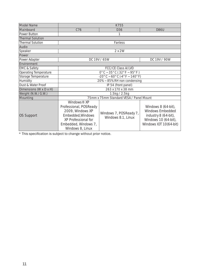| <b>Model Name</b>       | K755                                                                                                                                                          |                                              |                                                                                                                   |
|-------------------------|---------------------------------------------------------------------------------------------------------------------------------------------------------------|----------------------------------------------|-------------------------------------------------------------------------------------------------------------------|
| Mainboard               | C76                                                                                                                                                           | D <sub>36</sub>                              | <b>D86U</b>                                                                                                       |
| <b>Power Button</b>     |                                                                                                                                                               | 1                                            |                                                                                                                   |
| <b>Thermal Solution</b> |                                                                                                                                                               |                                              |                                                                                                                   |
| <b>Thermal Solution</b> |                                                                                                                                                               | Fanless                                      |                                                                                                                   |
| <b>Audio</b>            |                                                                                                                                                               |                                              |                                                                                                                   |
| Speaker                 |                                                                                                                                                               | 2 x 2W                                       |                                                                                                                   |
| Power                   |                                                                                                                                                               |                                              |                                                                                                                   |
| Power Adapter           |                                                                                                                                                               | DC 19V / 65W                                 | DC 19V / 90W                                                                                                      |
| Environment             |                                                                                                                                                               |                                              |                                                                                                                   |
| <b>EMC &amp; Safety</b> | FCC/CE Class A/LVD                                                                                                                                            |                                              |                                                                                                                   |
| Operating Temperature   | $\overline{0^{\circ}C}$ ~ 35°C (32°F ~ 95°F)                                                                                                                  |                                              |                                                                                                                   |
| Storage Temperature     | $-20^{\circ}$ C ~ 60°C ( $-4^{\circ}$ F ~ 140°F)                                                                                                              |                                              |                                                                                                                   |
| Humidity                | 20% ~ 85% RH non condensing                                                                                                                                   |                                              |                                                                                                                   |
| Dust & Water Proof      |                                                                                                                                                               | IP 54 (front panel)                          |                                                                                                                   |
| Dimensions (W x D x H)  | 263 x 170 x 38 mm                                                                                                                                             |                                              |                                                                                                                   |
| Weight (N.W./G.W.)      | 1.5kg / 2.5kg                                                                                                                                                 |                                              |                                                                                                                   |
| Mounting                | 75mm x 75mm Standard VESA / Panel Mount                                                                                                                       |                                              |                                                                                                                   |
| <b>OS Support</b>       | Windows <sup>®</sup> XP<br>Professional, POSReady<br>2009, Windows XP<br>Embedded, Windows<br>XP Professional for<br>Embedded, Windows 7,<br>Windows 8, Linux | Windows 7, POSReady 7,<br>Windows 8.1, Linux | Windows 8 (64-bit),<br>Windows Embedded<br>industry 8 (64-bit),<br>Windows 10 (64-bit),<br>Windows IOT 10(64-bit) |

\* This specification is subject to change without prior notice.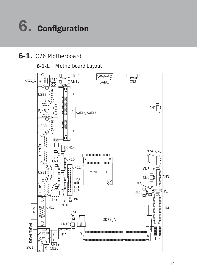# $6.$  **Configuration**

## **6-1.** C76 Motherboard

## **6-1-1.** Motherboard Layout

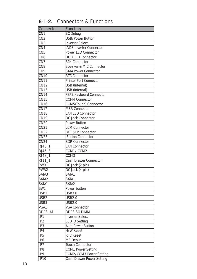| <b>Connector</b>   | <b>Function</b>                |
|--------------------|--------------------------------|
| CN <sub>1</sub>    | <b>EC</b> Debug                |
| CN <sub>2</sub>    | <b>USB/Power Button</b>        |
| CN <sub>3</sub>    | <b>Inverter Select</b>         |
| CN4                | <b>LVDS Inverter Connector</b> |
| CN <sub>5</sub>    | Power LED Connector            |
| $\overline{C}$ N6  | <b>HDD LED Connector</b>       |
| CN7                | <b>FAN Connector</b>           |
| CN <sub>8</sub>    | Speaker & MIC Connector        |
| CN <sub>9</sub>    | <b>SATA Power Connector</b>    |
| <b>CN10</b>        | <b>RTC Connector</b>           |
| <b>CN11</b>        | Printer Port Connector         |
| <b>CN12</b>        | USB (Internal)                 |
| <b>CN13</b>        | USB (Internal)                 |
| <b>CN14</b>        | PS/2 Keyboard Connector        |
| <b>CN15</b>        | COM4 Connector                 |
| <b>CN16</b>        | COM5(Touch) Connector          |
| <b>CN17</b>        | <b>MSR Connector</b>           |
| <b>CN18</b>        | <b>LAN LED Connector</b>       |
| <b>CN19</b>        | DC Jack Connector              |
| <b>CN20</b>        | Power Button                   |
| <b>CN21</b>        | <b>LCM Connector</b>           |
| <b>CN22</b>        | <b>BOT 51P Connector</b>       |
| $\overline{C}$ N23 | <b>iButton Connector</b>       |
| CN24               | <b>SDR Connector</b>           |
| RJ45_1             | <b>LAN Connector</b>           |
| RJ45_3             | COM1/COM2                      |
| RJ48_1             | COM3                           |
| RJ11_1             | Cash Drawer Connector          |
| PWR1               | $\overline{DC}$ Jack (2 pin)   |
| PWR <sub>2</sub>   | DC Jack (4 pin)                |
| SATA3              | SATA1                          |
| SATA <sub>2</sub>  | SATA1                          |
| SATA1              | SATA <sub>2</sub>              |
| SW1                | Power button                   |
| USB1               | <b>USB3.0</b>                  |
| USB <sub>2</sub>   | <b>USB2.0</b>                  |
| USB3               | <b>USB2.0</b>                  |
| VGA1               | <b>VGA Connector</b>           |
| DDR3 A1            | DDR3 SO-DIMM                   |
| JP1                | <b>Inverter Select</b>         |
| JP2                | <b>LCD ID Setting</b>          |
| JP3                | <b>Auto Power Button</b>       |
| JP4                | H/W Reset                      |
| JP <sub>5</sub>    | <b>RTC Reset</b>               |
| JP6                | ME Debut                       |
| JP7                | <b>Touch Connector</b>         |
| JP8                | COM1 Power Setting             |
| JP9                | COM2/COM3 Power Setting        |
| JP10               | Cash Drawer Power Setting      |

**6-1-2.** Connectors & Functions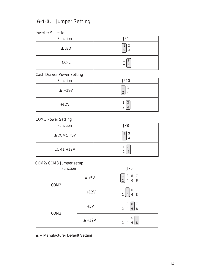## **6-1-3.** Jumper Setting

#### Inverter Selection

| Function    | JP1         |
|-------------|-------------|
| ALED        | 3<br>ာ<br>4 |
| <b>CCFL</b> | 3<br>◠      |

#### Cash Drawer Power Setting

| Function         | <b>JP10</b>        |
|------------------|--------------------|
| $\triangle$ +19V | -3<br>$\Omega$     |
| $+12V$           | 3<br>$\mathcal{P}$ |

#### COM1 Power Setting

| Function             | JP8               |
|----------------------|-------------------|
| $\triangle$ COM1 +5V | -3<br>1<br>2<br>4 |
| COM1 +12V            | 3<br>ာ<br>4       |

#### COM2/COM3 Jumper setup

| Function         |                  | JP6                                                                |
|------------------|------------------|--------------------------------------------------------------------|
| COM <sub>2</sub> | $\triangle$ +5V  | 3 5 7<br>1<br>4 6 8<br>$\overline{2}$                              |
|                  | $+12V$           | $3 \mid 5 \mid 7$<br>$\overline{2}$<br>8<br>6<br>(4)               |
| COM <sub>3</sub> | $+5V$            | $\begin{bmatrix} 1 & 3 & 5 \\ 2 & 4 & 6 \end{bmatrix}$ 7           |
|                  | $\triangle$ +12V | $\begin{array}{cccc} 1 & 3 & 5 \\ 2 & 4 & 6 \end{array}$<br>7<br>8 |

#### $\triangle$  = Manufacturer Default Setting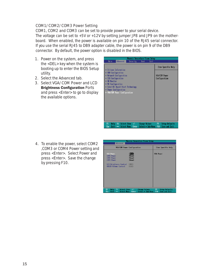#### COM1/COM2/COM3 Power Setting

COM1, COM2 and COM3 can be set to provide power to your serial device. The voltage can be set to +5V or +12V by setting jumper JP8 and JP9 on the motherboard. When enabled, the power is available on pin 10 of the RJ45 serial connector. If you use the serial RJ45 to DB9 adapter cable, the power is on pin 9 of the DB9 connector. By default, the power option is disabled in the BIOS.

- 1. Power on the system, and press the <DEL> key when the system is booting up to enter the BIOS Setup utility.
- 2. Select the Advanced tab.
- 3. Select VGA/COM Power and LCD **Brightness Configuration Ports** and press <Enter> to go to display the available options.



4. To enable the power, select COM2 ,COM3 or COM4 Power setting and press <Enter>. Select Power and press <Enter>. Save the change by pressing F10.

| Phoenix SecureCore Tiano Setup<br>Advanced                                                                                     |                                                   |                                                          |  |  |
|--------------------------------------------------------------------------------------------------------------------------------|---------------------------------------------------|----------------------------------------------------------|--|--|
| UGA/COM Power Configuration                                                                                                    |                                                   | Item Specific Help                                       |  |  |
| <b>UGA Power</b><br><b>COM1 Power</b><br><b>COM2 Power</b><br>COM3 Power<br>LCD Brightness Control [8]<br>ADHIA Volume Control | [None]<br>[None]<br>[None]<br>[None]<br>11        | <b>UGA Power</b>                                         |  |  |
| F1<br>$11$ Select Item $+/-$<br>Help<br>Exit<br>Select Menu Enter<br>Esc<br>$+ +$                                              | Change Values<br>$Select \triangleright Sub-Memu$ | F9<br>Setup Defaults<br>F <sub>10</sub><br>Save and Exit |  |  |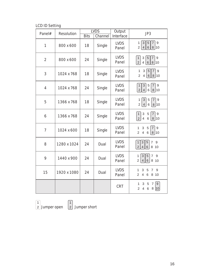### LCD ID Setting

| Panel#         | Resolution  | <b>LVDS</b> |         | Output               | JP3                                                                                                                   |
|----------------|-------------|-------------|---------|----------------------|-----------------------------------------------------------------------------------------------------------------------|
|                |             | <b>Bits</b> | Channel | Interface            |                                                                                                                       |
| 1              | 800 x 600   | 18          | Single  | <b>LVDS</b><br>Panel | 3<br>5<br>$\overline{7}$<br>9<br>1<br>$\overline{2}$<br>$\overline{4}$<br>8 10<br>$6\overline{6}$                     |
| $\overline{2}$ | 800 x 600   | 24          | Single  | <b>LVDS</b><br>Panel | $\overline{9}$<br>5<br>$\overline{7}$<br>$\mathbf{1}$<br>3<br>$\overline{2}$<br>$\overline{4}$<br>8 10<br>$ 6\rangle$ |
| 3              | 1024 x 768  | 18          | Single  | <b>LVDS</b><br>Panel | $\overline{7}$<br>$9\,$<br>3<br>$\sqrt{5}$<br>1<br>$\overline{2}$<br> 6 <br>$\overline{4}$<br>8 10                    |
| $\overline{4}$ | 1024 x 768  | 24          | Single  | <b>LVDS</b><br>Panel | 3 <sup>1</sup><br>$5\phantom{.0}$<br>$\vert$ 9<br>l 7<br>1<br>$\overline{2}$<br>6<br> 8 10<br>$\overline{4}$          |
| 5              | 1366 x 768  | 18          | Single  | <b>LVDS</b><br>Panel | 3<br>$\overline{7}$<br>9<br>5<br>1<br>$\overline{2}$<br>$4 \mid$<br>$\,6$<br> 8 10                                    |
| 6              | 1366 x 768  | 24          | Single  | <b>LVDS</b><br>Panel | 9<br>3<br>$\sqrt{5}$<br>7 <br>$\mathbf{1}$<br>$\overline{2}$<br>$\overline{\mathbf{4}}$<br>$\,$ 6 $\,$<br>8 10        |
| $\overline{7}$ | 1024 x 600  | 18          | Single  | <b>LVDS</b><br>Panel | 3<br>7 <sup>1</sup><br>9<br>5<br>$\mathbf{1}$<br>$\overline{2}$<br>$\overline{4}$<br>$\,6\,$<br>8 10                  |
| 8              | 1280 x 1024 | 24          | Dual    | <b>LVDS</b><br>Panel | $\overline{5}$<br>$9\,$<br>3<br>$\overline{7}$<br>$\mathbf{1}$<br>$\overline{2}$<br>8 10<br>6 <sup>1</sup><br>4       |
| 9              | 1440 x 900  | 24          | Dual    | <b>LVDS</b><br>Panel | 3<br>5<br>$\overline{7}$<br>$9\,$<br>1<br>$\overline{2}$<br>6<br>8 10<br>$\overline{4}$                               |
| 15             | 1920 x 1080 | 24          | Dual    | <b>LVDS</b><br>Panel | 3<br>5<br>$9\,$<br>$\overline{7}$<br>1<br>$\overline{2}$<br>$\overline{4}$<br>6<br>8<br>10                            |
|                |             |             |         | <b>CRT</b>           | $\mathsf 9$<br>3<br>5<br>$\overline{7}$<br>1<br>$\overline{2}$<br>$\overline{4}$<br>$\,6\,$<br>8<br> 10               |

 Jumper open  $|2$  Jumper short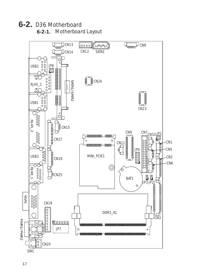## **6-2.** D36 Motherboard **6-2-1.** Motherboard Layout

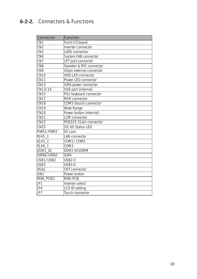## **6-2-2.** Connectors & Functions

| <b>Connector</b>         | <b>Function</b>          |
|--------------------------|--------------------------|
| CN1                      | Front I/O board          |
| CN <sub>2</sub>          | Inverter connector       |
| $\overline{C}$ N3        | <b>LVDS</b> connector    |
| $\overline{\text{CN}}$ 6 | System FAN connector     |
| CN7                      | LPT port connector       |
| CN8                      | Speaker & MIC connector  |
| CN9                      | 40pin external connector |
| $\overline{C}$ N10       | <b>HDD LED connector</b> |
| <b>CN11</b>              | Power LED connector      |
| CN12                     | SATA power connector     |
| CN13/14                  | USB port (internal)      |
| $\textsf{CN}15$          | PS2 keyboard connector   |
| $\overline{CN}$ 17       | <b>MSR</b> connector     |
| CN <sub>18</sub>         | COM5 (touch) connector   |
| CN19                     | Wide Range               |
| CN20                     | Power button (internal)  |
| CN21                     | <b>LCM</b> connector     |
| CN22                     | POS325 51pin connector   |
| CN <sub>25</sub>         | S5/S0 Status LED         |
| PWR1/PWR2                | DC Jack                  |
| RJ45_1                   | <b>LAN</b> connector     |
| RJ45_2                   | COM1/COM2                |
| RJ48 1                   | COM3                     |
| DDR3_A1                  | DDR3 SO-DIMM             |
| SATAO/SATA2              | <b>SATA</b>              |
| USB1/USB2                | <b>USB2.0</b>            |
| USB <sub>3</sub>         | <b>USB3.0</b>            |
| VGA1                     | <b>CRT</b> connector     |
| SW1                      | Power button             |
| MINI PCIE1               | <b>MINI PCIE</b>         |
| UP1                      | Inverter select          |
| JP4                      | LCD ID setting           |
| JP7                      | Touch connector          |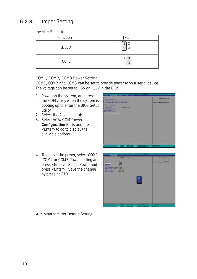## **6-2-3.** Jumper Setting

#### Inverter Selection

| Function    | JP <sub>1</sub> |
|-------------|-----------------|
| ALED        | -3<br>2<br>4    |
| <b>CCFL</b> | 3<br>2          |

#### COM1/COM2/COM3 Power Setting

COM1, COM2 and COM3 can be set to provide power to your serial device. The voltage can be set to +5V or +12V in the BIOS.

- 1. Power on the system, and press the <DEL> key when the system is booting up to enter the BIOS Setup utility.
- 2. Select the Advanced tab.
- 3. Select VGA/COM Power **Configuration Ports and press** <Enter> to go to display the available options.
- 4. To enable the power, select COM1 ,COM2 or COM3 Power setting and press <Enter>. Select Power and press <Enter>. Save the change by pressing F10.





 $\triangle$  = Manufacturer Default Setting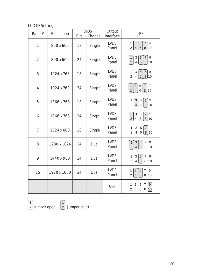### LCD ID Setting

| Panel#         | Resolution  |             | <b>LVDS</b> | Output               | JP3                                                                                                                               |
|----------------|-------------|-------------|-------------|----------------------|-----------------------------------------------------------------------------------------------------------------------------------|
|                |             | <b>Bits</b> | Channel     | Interface            |                                                                                                                                   |
| 1              | 800 x 600   | 18          | Single      | <b>LVDS</b><br>Panel | 7 9<br>1<br>3<br>$5\phantom{.}$<br>$\overline{2}$<br>6 <sup>1</sup><br>8 10<br>$\overline{4}$                                     |
| $\overline{2}$ | 800 x 600   | 24          | Single      | <b>LVDS</b><br>Panel | $\sqrt{5}$<br>7 <br>9<br>$\mathbf{1}$<br>3<br>$\overline{2}$<br>$\overline{4}$<br> 6 <br>8 10                                     |
| 3              | 1024 x 768  | 18          | Single      | <b>LVDS</b><br>Panel | $\mathbf{1}$<br>$\mathfrak{S}$<br>5 <sup>1</sup><br>7 <sup>1</sup><br>$9\,$<br>$\overline{2}$<br>$\overline{4}$<br> 6 <br>8 10    |
| $\overline{4}$ | 1024 x 768  | 24          | Single      | <b>LVDS</b><br>Panel | $\mathbf{3}$<br>5 <sup>5</sup><br>7 <sup>1</sup><br>$9\,$<br>1<br>$\overline{2}$<br>$6\phantom{a}$<br>$ 8 $ 10<br>$\overline{4}$  |
| 5              | 1366 x 768  | 18          | Single      | <b>LVDS</b><br>Panel | $\mathbf{3}$<br>$\sqrt{5}$<br>$\overline{7}$<br>$\boldsymbol{9}$<br>1<br>$\overline{2}$<br>4 <br>8 10<br>$\,6$                    |
| 6              | 1366 x 768  | 24          | Single      | <b>LVDS</b><br>Panel | 7 <sup>1</sup><br>$9\,$<br>$\mathbf{3}$<br>5<br>1<br>$\overline{2}$<br>$\overline{4}$<br>8 10<br>6                                |
| $\overline{7}$ | 1024 x 600  | 18          | Single      | <b>LVDS</b><br>Panel | 3<br>79<br>$\mathbf{1}$<br>$5\phantom{.0}$<br>$\overline{4}$<br>$\overline{2}$<br>6 8 10                                          |
| 8              | 1280 x 1024 | 24          | Dual        | <b>LVDS</b><br>Panel | 5 <sup>1</sup><br>$\overline{7}$<br>$9\,$<br>$\sqrt{3}$<br>$\mathbf{1}$<br>$\overline{2}$<br>4 6 8 10                             |
| 9              | 1440 x 900  | 24          | Dual        | <b>LVDS</b><br>Panel | $\boxed{5}$<br>$\mathbf{1}$<br>$\mathbf{3}$<br>$\overline{9}$<br>$\overline{7}$<br>$\overline{2}$<br>$\overline{4}$<br> 6 8<br>10 |
| 15             | 1920 x 1080 | 24          | Dual        | <b>LVDS</b><br>Panel | $5\overline{)}$<br>9<br>$\mathfrak{S}$<br>$\overline{7}$<br>1<br>$\overline{2}$<br>$\overline{4}$<br>8 10<br>6 <sup>1</sup>       |
|                |             |             |             | <b>CRT</b>           | 3<br>5<br>$ 9\rangle$<br>1<br>$\overline{7}$<br>$\overline{2}$<br>$\overline{4}$<br>$6\phantom{a}$<br>8 10                        |

 Jumper open  $|2$  Jumper short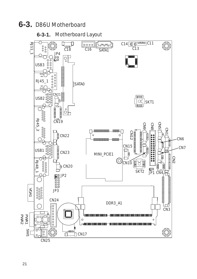## **6-3.** D86U Motherboard



CN25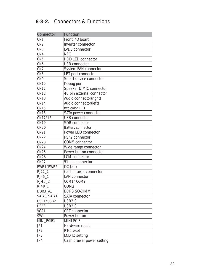## **6-3-2.** Connectors & Functions

| <b>Connector</b> | <b>Function</b>           |
|------------------|---------------------------|
| CN <sub>1</sub>  | Front I/O board           |
| CN <sub>2</sub>  | Inverter connector        |
| CN <sub>3</sub>  | <b>LVDS</b> connector     |
| CN4              | <b>NFC</b>                |
| CN <sub>5</sub>  | <b>HDD LED connector</b>  |
| CN <sub>6</sub>  | <b>USB connector</b>      |
| CN7              | System FAN connector      |
| CN <sub>8</sub>  | LPT port connector        |
| CN <sub>9</sub>  | Smart device connector    |
| <b>CN10</b>      | Debug port                |
| <b>CN11</b>      | Speaker & MIC connector   |
| <b>CN12</b>      | 40 pin external connector |
| <b>CN13</b>      | Audio connector(right)    |
| CN <sub>14</sub> | Audio connector(left)     |
| <b>CN15</b>      | two color LED             |
| <b>CN16</b>      | SATA power connector      |
| CN17/18          | <b>USB connector</b>      |
| <b>CN19</b>      | <b>SDR</b> connector      |
| <b>CN20</b>      | <b>Battery connector</b>  |
| <b>CN21</b>      | Power LED connector       |
| <b>CN22</b>      | PS/2 connector            |
| CN23             | COM5 connector            |
| <b>CN24</b>      | Wide range connector      |
| CN25             | Power button connector    |
| <b>CN26</b>      | <b>LCM</b> connector      |
| <b>CN27</b>      | 51 pin connector          |
| PWR1/PWR2        | DC Jack                   |
| RJ11_1           | Cash drawer connector     |
| RJ45_1           | <b>LAN</b> connector      |
| RJ45_2           | COM1/COM2                 |
| RJ48_1           | COM3                      |
| DDR3 A1          | DDR3 SO-DIMM              |
| SATAO/SATA1      | <b>SATA connector</b>     |
| USB1/USB2        | <b>USB3.0</b>             |
| USB <sub>3</sub> | <b>USB2.0</b>             |
| VGA1             | <b>CRT</b> connector      |
| SW <sub>1</sub>  | Power button              |
| MINI_PCIE1       | <b>MINI PCIE</b>          |
| JP1              | Hardware reset            |
| JP <sub>2</sub>  | RTC reset                 |
| JP3              | LCD ID setting            |
| JP4              | Cash drawer power setting |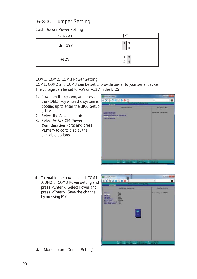## **6-3-3.** Jumper Setting

#### Cash Drawer Power Setting

| Function         | JP4          |
|------------------|--------------|
| $\triangle$ +19V | -3<br>ာ<br>4 |
| $+12V$           | 3<br>$\cap$  |

#### COM1/COM2/COM3 Power Setting

COM1, COM2 and COM3 can be set to provide power to your serial device. The voltage can be set to +5V or +12V in the BIOS.

- 1. Power on the system, and press the <DEL> key when the system is booting up to enter the BIOS Setup utility.
- 2. Select the Advanced tab.
- 3. Select VGA/COM Power **Configuration** Ports and press <Enter> to go to display the available options.



4. To enable the power, select COM1 ,COM2 or COM3 Power setting and press <Enter>. Select Power and press <Enter>. Save the change by pressing F10.



 $\triangle$  = Manufacturer Default Setting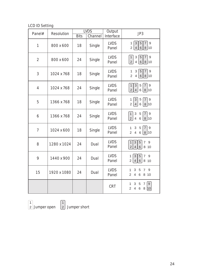### LCD ID Setting

| Panel#         | Resolution  | <b>LVDS</b> |         | Output               | JP3                                                                                                                                      |
|----------------|-------------|-------------|---------|----------------------|------------------------------------------------------------------------------------------------------------------------------------------|
|                |             | <b>Bits</b> | Channel | Interface            |                                                                                                                                          |
| 1              | 800 x 600   | 18          | Single  | <b>LVDS</b><br>Panel | 3<br>$\overline{7}$<br>9<br>1<br>$\sqrt{5}$<br>$\overline{2}$<br>8 10<br>$\overline{4}$<br>$6\overline{6}$                               |
| $\overline{2}$ | 800 x 600   | 24          | Single  | <b>LVDS</b><br>Panel | $\sqrt{5}$<br>$\overline{7}$<br>$\overline{9}$<br>$\mathbf{1}$<br>3<br>$\overline{2}$<br>$\overline{\mathcal{A}}$<br>8 10<br>$\boxed{6}$ |
| 3              | 1024 x 768  | 18          | Single  | <b>LVDS</b><br>Panel | 3<br>5<br>1<br>$\overline{7}$<br>9<br>$\overline{2}$<br>$\overline{4}$<br>8 10<br> 6                                                     |
| $\overline{4}$ | 1024 x 768  | 24          | Single  | <b>LVDS</b><br>Panel | $\mathfrak{S}$<br>5<br>$\overline{7}$<br>$\vert$ 9<br>$\mathbf{1}$<br>$\overline{2}$<br>$\,6$<br>8 10<br>$\overline{4}$                  |
| 5              | 1366 x 768  | 18          | Single  | <b>LVDS</b><br>Panel | 3<br>5<br>$\overline{7}$<br>9<br>1<br>$\overline{2}$<br>$\overline{4}$<br>6<br> 8 10                                                     |
| 6              | 1366 x 768  | 24          | Single  | <b>LVDS</b><br>Panel | $\vert$ 9<br>$\mathbf{3}$<br>5<br>$\overline{7}$<br>$\mathbf{1}$<br>$\overline{2}$<br>$\overline{4}$<br>$\,6$<br>8 10                    |
| $\overline{7}$ | 1024 x 600  | 18          | Single  | <b>LVDS</b><br>Panel | 3<br>$\overline{7}$<br>9<br>5<br>1<br>$\overline{2}$<br>$\,6\,$<br>$\overline{4}$<br> 8 10                                               |
| 8              | 1280 x 1024 | 24          | Dual    | <b>LVDS</b><br>Panel | 5<br>9<br>$\mathfrak{S}$<br>$\overline{7}$<br>$\mathbf{1}$<br>$\overline{2}$<br>6 <br>8<br>10<br>$\overline{4}$                          |
| 9              | 1440 x 900  | 24          | Dual    | <b>LVDS</b><br>Panel | 3 <sup>2</sup><br>$\sqrt{5}$<br>9<br>$\overline{7}$<br>1<br>$\overline{2}$<br>$6\phantom{.}$<br>$\,8\,$<br>10<br>$\overline{4}$          |
| 15             | 1920 x 1080 | 24          | Dual    | <b>LVDS</b><br>Panel | 9<br>3<br>5<br>1<br>$\overline{7}$<br>$\overline{2}$<br>$\overline{4}$<br>$6\phantom{1}6$<br>8 10                                        |
|                |             |             |         | <b>CRT</b>           | $\sqrt{9}$<br>3<br>5<br>1<br>7<br>$\overline{2}$<br>$\overline{4}$<br>$6\,$<br>8<br>[10]                                                 |

 Jumper open  $|2$  Jumper short